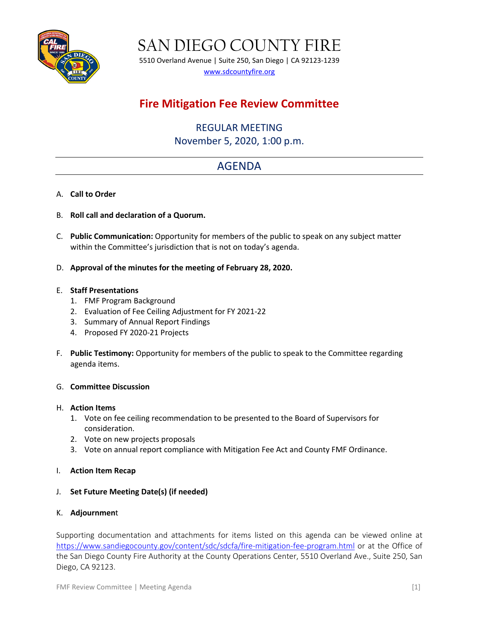

SAN DIEGO COUNTY FIRE

5510 Overland Avenue | Suite 250, San Diego | CA 92123-1239 [www.sdcountyfire.org](http://www.sdcountyfire.org/)

## **Fire Mitigation Fee Review Committee**

REGULAR MEETING November 5, 2020, 1:00 p.m.

# AGENDA

- A. **Call to Order**
- B. **Roll call and declaration of a Quorum.**
- C. **Public Communication:** Opportunity for members of the public to speak on any subject matter within the Committee's jurisdiction that is not on today's agenda.
- D. **Approval of the minutes for the meeting of February 28, 2020.**

#### E. **Staff Presentations**

- 1. FMF Program Background
- 2. Evaluation of Fee Ceiling Adjustment for FY 2021-22
- 3. Summary of Annual Report Findings
- 4. Proposed FY 2020-21 Projects
- F. **Public Testimony:** Opportunity for members of the public to speak to the Committee regarding agenda items.

#### G. **Committee Discussion**

#### H. **Action Items**

- 1. Vote on fee ceiling recommendation to be presented to the Board of Supervisors for consideration.
- 2. Vote on new projects proposals
- 3. Vote on annual report compliance with Mitigation Fee Act and County FMF Ordinance.
- I. **Action Item Recap**
- J. **Set Future Meeting Date(s) (if needed)**

#### K. **Adjournmen**t

Supporting documentation and attachments for items listed on this agenda can be viewed online at <https://www.sandiegocounty.gov/content/sdc/sdcfa/fire-mitigation-fee-program.html> or at the Office of the San Diego County Fire Authority at the County Operations Center, 5510 Overland Ave., Suite 250, San Diego, CA 92123.